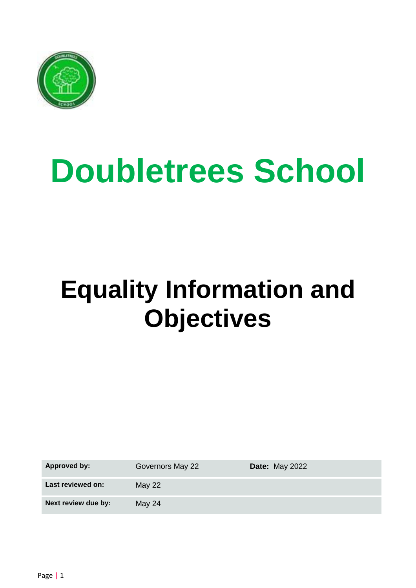

# **Doubletrees School**

# **Equality Information and Objectives**

**Approved by:** Governors May 22 **Date:** May 2022

Last reviewed on: May 22

**Next review due by:** May 24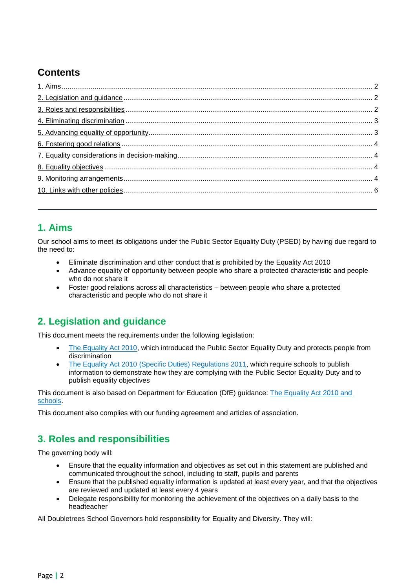### **Contents**

#### <span id="page-1-0"></span>**1. Aims**

Our school aims to meet its obligations under the Public Sector Equality Duty (PSED) by having due regard to the need to:

- Eliminate discrimination and other conduct that is prohibited by the Equality Act 2010
- Advance equality of opportunity between people who share a protected characteristic and people who do not share it
- Foster good relations across all characteristics between people who share a protected characteristic and people who do not share it

#### <span id="page-1-1"></span>**2. Legislation and guidance**

This document meets the requirements under the following legislation:

- [The Equality Act 2010,](http://www.legislation.gov.uk/ukpga/2010/15/contents) which introduced the Public Sector Equality Duty and protects people from discrimination
- The Equality Act 2010 [\(Specific Duties\) Regulations 2011,](http://www.legislation.gov.uk/uksi/2011/2260/contents/made) which require schools to publish information to demonstrate how they are complying with the Public Sector Equality Duty and to publish equality objectives

This document is also based on Department for Education (DfE) guidance: [The Equality Act 2010 and](https://www.gov.uk/government/publications/equality-act-2010-advice-for-schools)  [schools.](https://www.gov.uk/government/publications/equality-act-2010-advice-for-schools)

This document also complies with our funding agreement and articles of association.

#### <span id="page-1-2"></span>**3. Roles and responsibilities**

The governing body will:

- Ensure that the equality information and objectives as set out in this statement are published and communicated throughout the school, including to staff, pupils and parents
- Ensure that the published equality information is updated at least every year, and that the objectives are reviewed and updated at least every 4 years
- Delegate responsibility for monitoring the achievement of the objectives on a daily basis to the headteacher

All Doubletrees School Governors hold responsibility for Equality and Diversity. They will: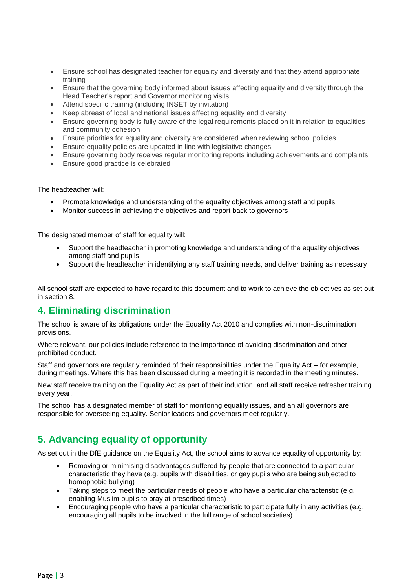- Ensure school has designated teacher for equality and diversity and that they attend appropriate training
- Ensure that the governing body informed about issues affecting equality and diversity through the Head Teacher's report and Governor monitoring visits
- Attend specific training (including INSET by invitation)
- Keep abreast of local and national issues affecting equality and diversity
- Ensure governing body is fully aware of the legal requirements placed on it in relation to equalities and community cohesion
- Ensure priorities for equality and diversity are considered when reviewing school policies
- Ensure equality policies are updated in line with legislative changes
- Ensure governing body receives regular monitoring reports including achievements and complaints
- **Ensure good practice is celebrated**

The headteacher will:

- Promote knowledge and understanding of the equality objectives among staff and pupils
- Monitor success in achieving the objectives and report back to governors

The designated member of staff for equality will:

- Support the headteacher in promoting knowledge and understanding of the equality objectives among staff and pupils
- Support the headteacher in identifying any staff training needs, and deliver training as necessary

All school staff are expected to have regard to this document and to work to achieve the objectives as set out in section 8.

#### <span id="page-2-0"></span>**4. Eliminating discrimination**

The school is aware of its obligations under the Equality Act 2010 and complies with non-discrimination provisions.

Where relevant, our policies include reference to the importance of avoiding discrimination and other prohibited conduct.

Staff and governors are regularly reminded of their responsibilities under the Equality Act – for example, during meetings. Where this has been discussed during a meeting it is recorded in the meeting minutes.

New staff receive training on the Equality Act as part of their induction, and all staff receive refresher training every year.

The school has a designated member of staff for monitoring equality issues, and an all governors are responsible for overseeing equality. Senior leaders and governors meet regularly.

#### <span id="page-2-1"></span>**5. Advancing equality of opportunity**

As set out in the DfE guidance on the Equality Act, the school aims to advance equality of opportunity by:

- Removing or minimising disadvantages suffered by people that are connected to a particular characteristic they have (e.g. pupils with disabilities, or gay pupils who are being subjected to homophobic bullying)
- Taking steps to meet the particular needs of people who have a particular characteristic (e.g. enabling Muslim pupils to pray at prescribed times)
- Encouraging people who have a particular characteristic to participate fully in any activities (e.g. encouraging all pupils to be involved in the full range of school societies)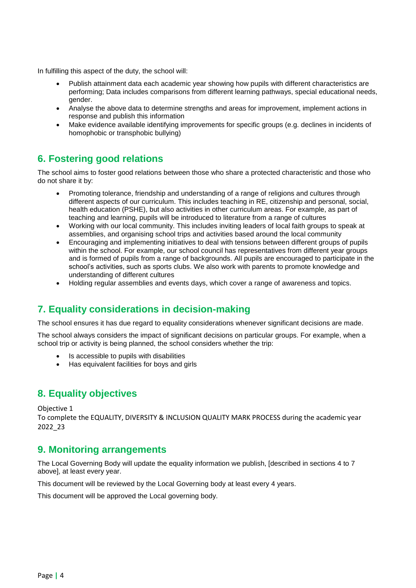In fulfilling this aspect of the duty, the school will:

- Publish attainment data each academic year showing how pupils with different characteristics are performing; Data includes comparisons from different learning pathways, special educational needs, gender.
- Analyse the above data to determine strengths and areas for improvement, implement actions in response and publish this information
- Make evidence available identifying improvements for specific groups (e.g. declines in incidents of homophobic or transphobic bullying)

#### <span id="page-3-0"></span>**6. Fostering good relations**

The school aims to foster good relations between those who share a protected characteristic and those who do not share it by:

- Promoting tolerance, friendship and understanding of a range of religions and cultures through different aspects of our curriculum. This includes teaching in RE, citizenship and personal, social, health education (PSHE), but also activities in other curriculum areas. For example, as part of teaching and learning, pupils will be introduced to literature from a range of cultures
- Working with our local community. This includes inviting leaders of local faith groups to speak at assemblies, and organising school trips and activities based around the local community
- Encouraging and implementing initiatives to deal with tensions between different groups of pupils within the school. For example, our school council has representatives from different year groups and is formed of pupils from a range of backgrounds. All pupils are encouraged to participate in the school's activities, such as sports clubs. We also work with parents to promote knowledge and understanding of different cultures
- Holding regular assemblies and events days, which cover a range of awareness and topics.

#### <span id="page-3-1"></span>**7. Equality considerations in decision-making**

The school ensures it has due regard to equality considerations whenever significant decisions are made.

The school always considers the impact of significant decisions on particular groups. For example, when a school trip or activity is being planned, the school considers whether the trip:

- Is accessible to pupils with disabilities
- Has equivalent facilities for boys and girls

#### <span id="page-3-2"></span>**8. Equality objectives**

Objective 1

To complete the EQUALITY, DIVERSITY & INCLUSION QUALITY MARK PROCESS during the academic year 2022\_23

#### <span id="page-3-3"></span>**9. Monitoring arrangements**

The Local Governing Body will update the equality information we publish, [described in sections 4 to 7 above], at least every year.

This document will be reviewed by the Local Governing body at least every 4 years.

This document will be approved the Local governing body.